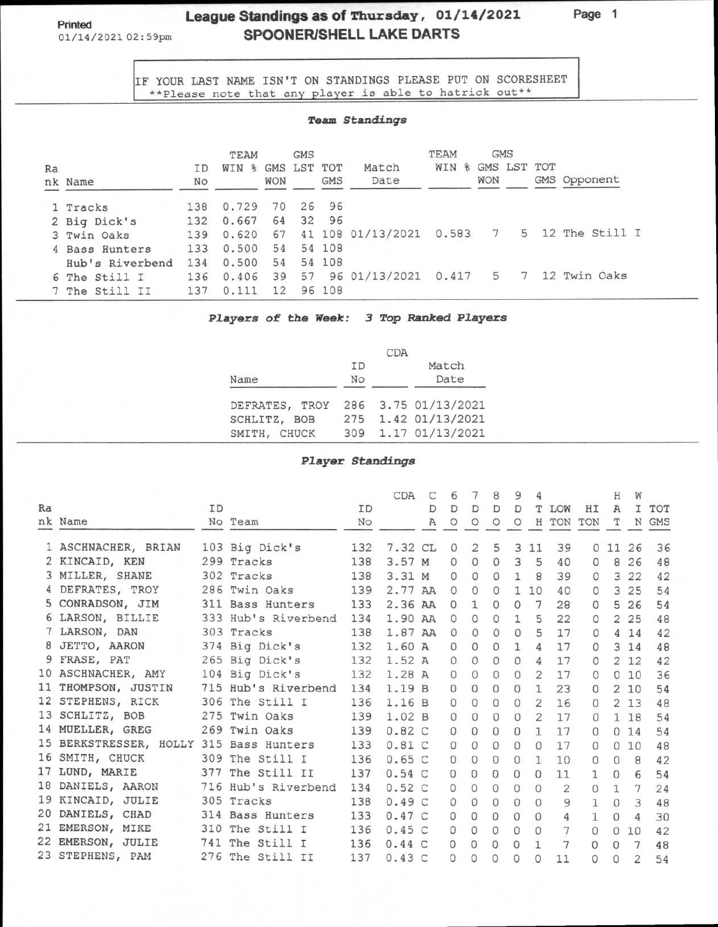## **League Standings as of Thursday, 01/14/2021**<br>01/14/2021 02:59pm<br>**SPOONER/SHELL LAKE DARTS** SPOONER/SHELL LAKE DARTS

**Page 1** 

IF YOUR LAST NAME ISN'T ON STANDINGS PLEASE PUT ON SCORESHEET \*\*Please note that any player is able to hatrick out\*\*

### *Team* **Standings**

|    |                 |     | TEAM  |            | <b>GMS</b>  |            |                | TEAM                 | <b>GMS</b> |             |                |
|----|-----------------|-----|-------|------------|-------------|------------|----------------|----------------------|------------|-------------|----------------|
| Ra |                 | ΙD  | WIN % |            | GMS LST TOT |            | Match          | WIN<br>$\mathscr{E}$ |            | GMS LST TOT |                |
|    | nk Name         | No  |       | <b>WON</b> |             | <b>GMS</b> | Date           |                      | WON        |             | GMS Opponent   |
|    | 1 Tracks        | 138 | 0.729 | 70         | 26          | 96         |                |                      |            |             |                |
|    | 2 Big Dick's    | 132 | 0.667 | 64         | 32          | 96         |                |                      |            |             |                |
|    | 3 Twin Oaks     | 139 | 0.620 | 67         | 41          |            | 108 01/13/2021 | 0.583                | 7          | 5           | 12 The Still I |
|    | 4 Bass Hunters  | 133 | 0.500 | 54         |             | 54 108     |                |                      |            |             |                |
|    | Hub's Riverbend | 134 | 0.500 | 54         |             | 54 108     |                |                      |            |             |                |
|    | 6 The Still I   | 136 | 0.406 | 39         | 57          |            | 96 01/13/2021  | 0.417                | 5          | -7          | 12 Twin Oaks   |
|    | 7 The Still II  | 137 | 0.111 | 12         |             | 96 108     |                |                      |            |             |                |

#### **Players of the Week: 3 Top Ranked Players**

|                                    |                 | CDA |                     |
|------------------------------------|-----------------|-----|---------------------|
| Name                               | <b>TD</b><br>No |     | Match<br>Date       |
| DEFRATES, TROY 286 3.75 01/13/2021 |                 |     |                     |
| SCHLITZ, BOB                       |                 |     | 275 1.42 01/13/2021 |
| SMITH, CHUCK                       |                 |     | 309 1.17 01/13/2021 |

#### **Player Standings**

|    |                                                 |    |                     |     | <b>CDA</b> | C            | 6            | 7              | 8            | 9              | 4              |                |                | Н              | W              |       |
|----|-------------------------------------------------|----|---------------------|-----|------------|--------------|--------------|----------------|--------------|----------------|----------------|----------------|----------------|----------------|----------------|-------|
| Ra |                                                 | ID |                     | ID  |            | D            | D            | D              | D            | D              | т              | LOW            | HI             | $\mathbb{A}$   |                | I TOT |
|    | nk Name                                         |    | No Team             | No  |            | $\mathbb{A}$ | $\circ$      | $\circ$        | $\circ$      | $\circ$        |                | H TON          | TON            | т              |                | N GMS |
|    | 1 ASCHNACHER, BRIAN                             |    | 103 Big Dick's      | 132 | 7.32 CL    |              | $\circ$      | $\overline{2}$ | 5            |                | 3 1 1          | 39             |                | 011            | 26             | 36    |
|    | 2 KINCAID, KEN                                  |    | 299 Tracks          | 138 | 3.57M      |              | $\circ$      | $\circ$        | $\circ$      | $\overline{3}$ | 5              | 40             | $\Omega$       | 8              | 26             | 48    |
|    | 3 MILLER, SHANE                                 |    | 302 Tracks          | 138 | 3.31 M     |              | $\Omega$     | $\circ$        | $\circ$      |                | $1 \quad 8$    | 39             | $\Omega$       |                | 3 2 2          | 42    |
|    | 4 DEFRATES, TROY                                |    | 286 Twin Oaks       | 139 | 2.77 AA    |              | $\Omega$     | $\circ$        | $\Omega$     |                | 110            | 40             | $\Omega$       |                | 3 25           | 54    |
|    | 5 CONRADSON, JIM                                |    | 311 Bass Hunters    | 133 | 2.36 AA    |              | $\Omega$     | $\mathbf{1}$   | $\Omega$     | $\Omega$       | 7              | 28             | $\Omega$       | 5              | 26             | 54    |
|    | 6 LARSON, BILLIE                                |    | 333 Hub's Riverbend | 134 | 1.90 AA    |              | $\circ$      | $\Omega$       | $\Omega$     | $\mathbf{1}$   | 5              | 22             | $\Omega$       | $\overline{2}$ | 25             | 48    |
|    | 7 LARSON, DAN                                   |    | 303 Tracks          | 138 | 1.87 AA    |              | 0            | $\circ$        | $\mathbf{0}$ | $\Omega$       | 5              | 17             | $\Omega$       | 4              | 14             | 42    |
|    | 8 JETTO, AARON                                  |    | 374 Big Dick's      | 132 | 1.60A      |              | $\Omega$     | $\circ$        | $\Omega$     | $\mathbf{1}$   | 4              | 17             | $\Omega$       | 3              | 14             | 48    |
|    | 9 FRASE, PAT                                    |    | 265 Big Dick's      | 132 | 1.52A      |              | $\circ$      | $\circ$        | $\Omega$     | $\circ$        | 4              | 17             | $\Omega$       |                | 2 1 2          | 42    |
|    | 10 ASCHNACHER, AMY                              |    | 104 Big Dick's      | 132 | 1.28A      |              | $\circ$      | $\Omega$       | $\Omega$     | $\Omega$       | 2              | 17             | $\Omega$       | $\Omega$       | 10             | 36    |
|    | 11 THOMPSON, JUSTIN                             |    | 715 Hub's Riverbend | 134 | 1.19B      |              | $\mathbf{0}$ | $\Omega$       | $\Omega$     | $\circ$        | $\mathbf{1}$   | 23             | $\circ$        | $\overline{2}$ | 10             | 54    |
|    | 12 STEPHENS, RICK                               |    | 306 The Still I     | 136 | 1.16 B     |              | $\circ$      | $\Omega$       |              | $\circ$        | $\overline{2}$ | 16             | $\circ$        |                | 213            | 48    |
|    | 13 SCHLITZ, BOB                                 |    | 275 Twin Oaks       | 139 | 1.02 B     |              | $\Omega$     | $\circ$        | $\Omega$     | $\circ$        | $\overline{2}$ | 17             | $\Omega$       |                | 1 18           | 54    |
|    | 14 MUELLER, GREG<br>$\mathcal{L} = \mathcal{L}$ |    | 269 Twin Oaks       | 139 | 0.82C      |              | $\Omega$     | $\Omega$       | $\Omega$     | $\circ$        | $\mathbf{1}$   | 17             | $\Omega$       | $\mathbf{0}$   | 14             | 54    |
|    | 15 BERKSTRESSER, HOLLY 315 Bass Hunters         |    |                     | 133 | 0.81C      |              | 0            | $\Omega$       | $\Omega$     | $\circ$        | $\Omega$       | 17             | $\Omega$       | $\circ$        | 10             | 48    |
|    | 16 SMITH, CHUCK                                 |    | 309 The Still I     | 136 | 0.65C      |              | 0            | $\circ$        | $\circ$      | 0              | $\mathbf{1}$   | 10             | $\Omega$       | $\Omega$       | 8              | 42    |
|    | 17 LUND, MARIE                                  |    | 377 The Still II    | 137 | 0.54C      |              | $\circ$      | $\Omega$       | $\Omega$     | $\Omega$       | $\Omega$       | 11             | 1              | $\mathbf{0}$   | 6              | 54    |
|    | 18 DANIELS, AARON                               |    | 716 Hub's Riverbend | 134 | 0.52C      |              | $\circ$      | $\circ$        | $\Omega$     | $\circ$        | $\circ$        | $\overline{2}$ | $\circ$        | $\mathbf{1}$   | 7              | 24    |
|    | 19 KINCAID, JULIE                               |    | 305 Tracks          | 138 | 0.49C      |              | $\circ$      | $\Omega$       | $\Omega$     | $\Omega$       | $\Omega$       | 9              | $\overline{1}$ | $\Omega$       | 3              | 48    |
|    | 20 DANIELS, CHAD                                |    | 314 Bass Hunters    | 133 | 0.47C      |              | $\circ$      | $\Omega$       | $\Omega$     | $\Omega$       | $\Omega$       | $\overline{4}$ | $\mathbf{1}$   | $\Omega$       | $\overline{4}$ | 30    |
|    | 21 EMERSON, MIKE                                |    | 310 The Still I     | 136 | 0.45C      |              | 0            | $\circ$        | $\circ$      | 0              | 0              |                | $\circ$        | $\circ$        | 10             | 42    |
|    | 22 EMERSON, JULIE                               |    | 741 The Still I     | 136 | 0.44C      |              | $\circ$      | $\Omega$       | $\Omega$     | $\mathbf{O}$   |                | $\overline{7}$ | $\circ$        | $\Omega$       | 7              | 48    |
|    | 23 STEPHENS, PAM                                |    | 276 The Still II    | 137 | 0.43C      |              | 0            | $\Omega$       | 0            | $\circ$        | $\Omega$       | 11             |                | $\Omega$       | $\overline{2}$ | 54    |